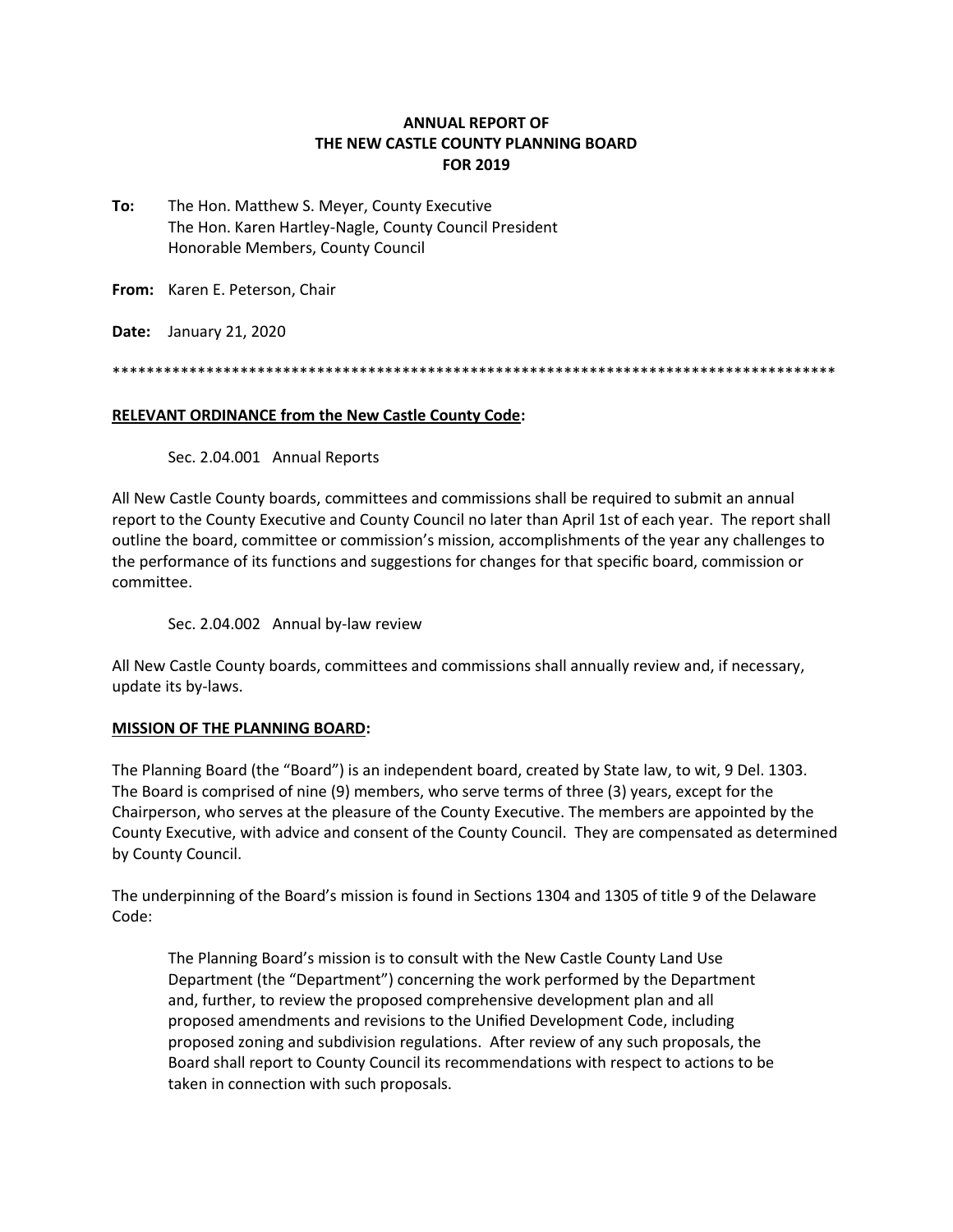### **ANNUAL REPORT OF THE NEW CASTLE COUNTY PLANNING BOARD FOR 2019**

**To:** The Hon. Matthew S. Meyer, County Executive The Hon. Karen Hartley-Nagle, County Council President Honorable Members, County Council

**From:** Karen E. Peterson, Chair

**Date:** January 21, 2020

\*\*\*\*\*\*\*\*\*\*\*\*\*\*\*\*\*\*\*\*\*\*\*\*\*\*\*\*\*\*\*\*\*\*\*\*\*\*\*\*\*\*\*\*\*\*\*\*\*\*\*\*\*\*\*\*\*\*\*\*\*\*\*\*\*\*\*\*\*\*\*\*\*\*\*\*\*\*\*\*\*\*\*\*\*

#### **RELEVANT ORDINANCE from the New Castle County Code:**

Sec. 2.04.001 Annual Reports

All New Castle County boards, committees and commissions shall be required to submit an annual report to the County Executive and County Council no later than April 1st of each year. The report shall outline the board, committee or commission's mission, accomplishments of the year any challenges to the performance of its functions and suggestions for changes for that specific board, commission or committee.

Sec. 2.04.002 Annual by-law review

All New Castle County boards, committees and commissions shall annually review and, if necessary, update its by-laws.

### **MISSION OF THE PLANNING BOARD:**

The Planning Board (the "Board") is an independent board, created by State law, to wit, 9 Del. 1303. The Board is comprised of nine (9) members, who serve terms of three (3) years, except for the Chairperson, who serves at the pleasure of the County Executive. The members are appointed by the County Executive, with advice and consent of the County Council. They are compensated as determined by County Council.

The underpinning of the Board's mission is found in Sections 1304 and 1305 of title 9 of the Delaware Code:

The Planning Board's mission is to consult with the New Castle County Land Use Department (the "Department") concerning the work performed by the Department and, further, to review the proposed comprehensive development plan and all proposed amendments and revisions to the Unified Development Code, including proposed zoning and subdivision regulations. After review of any such proposals, the Board shall report to County Council its recommendations with respect to actions to be taken in connection with such proposals.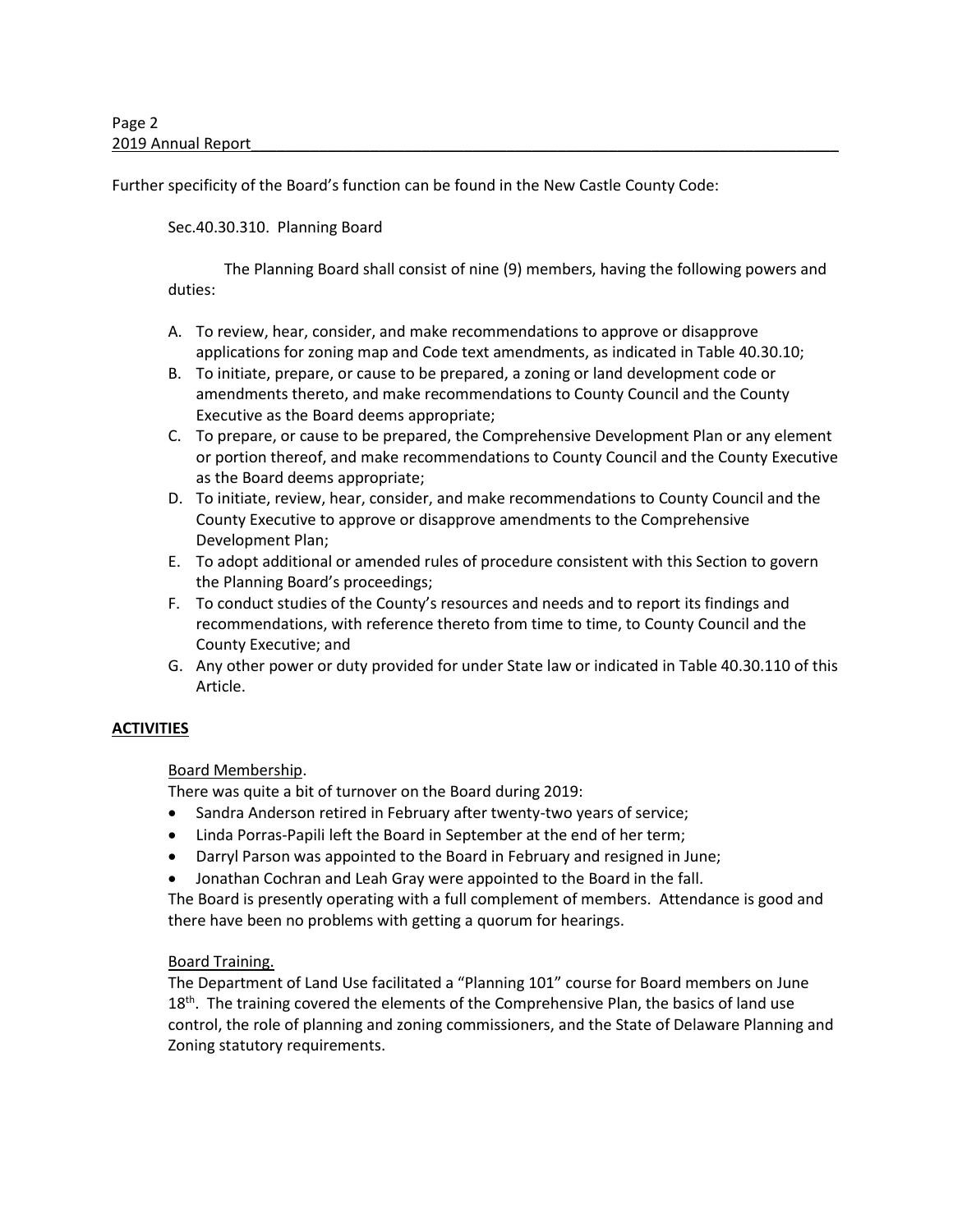Further specificity of the Board's function can be found in the New Castle County Code:

# Sec.40.30.310. Planning Board

The Planning Board shall consist of nine (9) members, having the following powers and duties:

- A. To review, hear, consider, and make recommendations to approve or disapprove applications for zoning map and Code text amendments, as indicated in Table 40.30.10;
- B. To initiate, prepare, or cause to be prepared, a zoning or land development code or amendments thereto, and make recommendations to County Council and the County Executive as the Board deems appropriate;
- C. To prepare, or cause to be prepared, the Comprehensive Development Plan or any element or portion thereof, and make recommendations to County Council and the County Executive as the Board deems appropriate;
- D. To initiate, review, hear, consider, and make recommendations to County Council and the County Executive to approve or disapprove amendments to the Comprehensive Development Plan;
- E. To adopt additional or amended rules of procedure consistent with this Section to govern the Planning Board's proceedings;
- F. To conduct studies of the County's resources and needs and to report its findings and recommendations, with reference thereto from time to time, to County Council and the County Executive; and
- G. Any other power or duty provided for under State law or indicated in Table 40.30.110 of this Article.

# **ACTIVITIES**

### Board Membership.

There was quite a bit of turnover on the Board during 2019:

- Sandra Anderson retired in February after twenty-two years of service;
- Linda Porras-Papili left the Board in September at the end of her term;
- Darryl Parson was appointed to the Board in February and resigned in June;
- Jonathan Cochran and Leah Gray were appointed to the Board in the fall.

The Board is presently operating with a full complement of members. Attendance is good and there have been no problems with getting a quorum for hearings.

### Board Training.

The Department of Land Use facilitated a "Planning 101" course for Board members on June  $18<sup>th</sup>$ . The training covered the elements of the Comprehensive Plan, the basics of land use control, the role of planning and zoning commissioners, and the State of Delaware Planning and Zoning statutory requirements.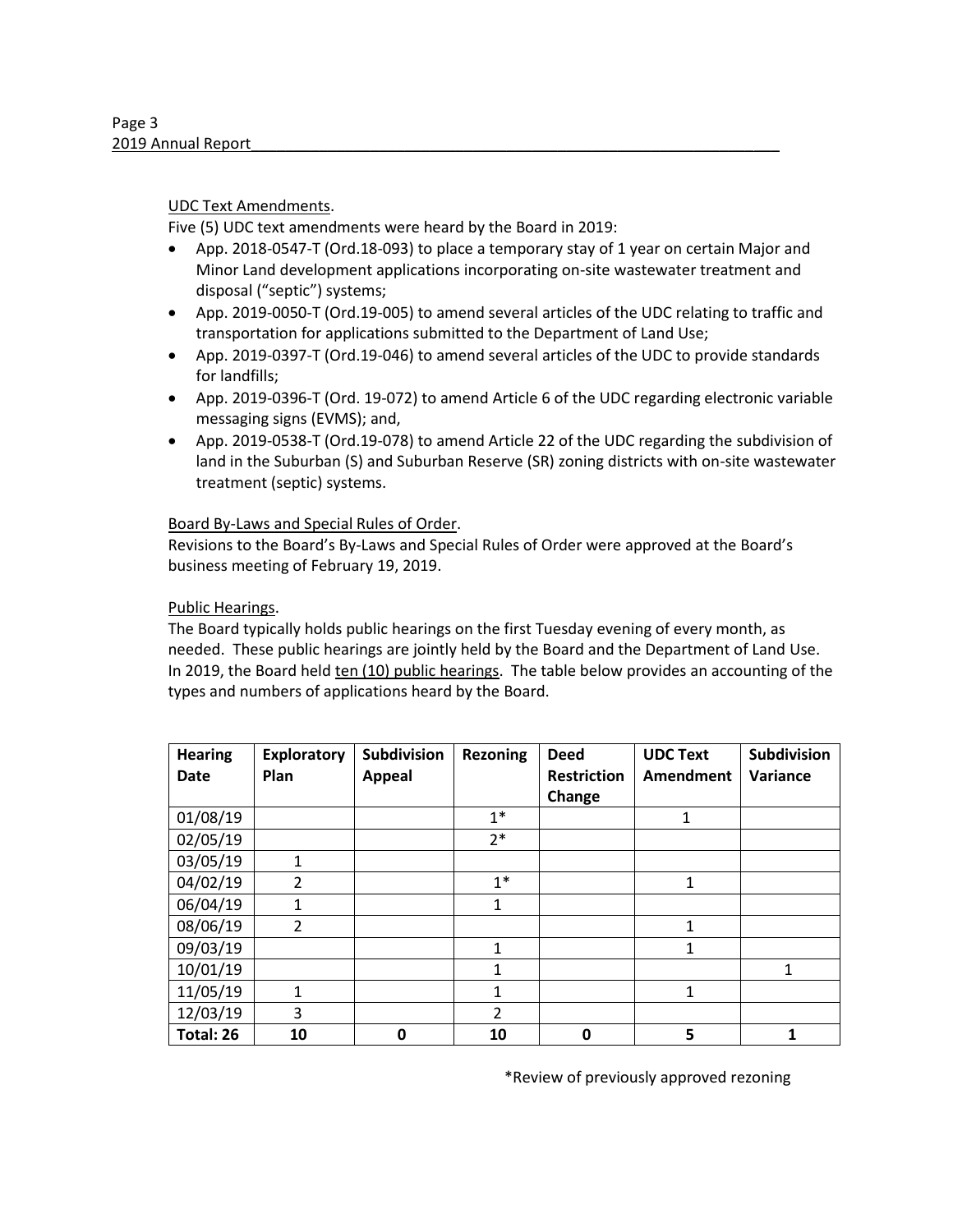### UDC Text Amendments.

Five (5) UDC text amendments were heard by the Board in 2019:

- App. 2018-0547-T (Ord.18-093) to place a temporary stay of 1 year on certain Major and Minor Land development applications incorporating on-site wastewater treatment and disposal ("septic") systems;
- App. 2019-0050-T (Ord.19-005) to amend several articles of the UDC relating to traffic and transportation for applications submitted to the Department of Land Use;
- App. 2019-0397-T (Ord.19-046) to amend several articles of the UDC to provide standards for landfills;
- App. 2019-0396-T (Ord. 19-072) to amend Article 6 of the UDC regarding electronic variable messaging signs (EVMS); and,
- App. 2019-0538-T (Ord.19-078) to amend Article 22 of the UDC regarding the subdivision of land in the Suburban (S) and Suburban Reserve (SR) zoning districts with on-site wastewater treatment (septic) systems.

### Board By-Laws and Special Rules of Order.

Revisions to the Board's By-Laws and Special Rules of Order were approved at the Board's business meeting of February 19, 2019.

### Public Hearings.

The Board typically holds public hearings on the first Tuesday evening of every month, as needed. These public hearings are jointly held by the Board and the Department of Land Use. In 2019, the Board held ten (10) public hearings. The table below provides an accounting of the types and numbers of applications heard by the Board.

| <b>Hearing</b><br><b>Date</b> | <b>Exploratory</b><br>Plan | Subdivision<br><b>Appeal</b> | <b>Rezoning</b> | <b>Deed</b><br><b>Restriction</b> | <b>UDC Text</b><br><b>Amendment</b> | <b>Subdivision</b><br>Variance |
|-------------------------------|----------------------------|------------------------------|-----------------|-----------------------------------|-------------------------------------|--------------------------------|
|                               |                            |                              |                 | Change                            |                                     |                                |
| 01/08/19                      |                            |                              | $1*$            |                                   | 1                                   |                                |
| 02/05/19                      |                            |                              | $2*$            |                                   |                                     |                                |
| 03/05/19                      | 1                          |                              |                 |                                   |                                     |                                |
| 04/02/19                      | $\overline{2}$             |                              | $1*$            |                                   | 1                                   |                                |
| 06/04/19                      | 1                          |                              | 1               |                                   |                                     |                                |
| 08/06/19                      | $\overline{2}$             |                              |                 |                                   | 1                                   |                                |
| 09/03/19                      |                            |                              | $\mathbf{1}$    |                                   | 1                                   |                                |
| 10/01/19                      |                            |                              | 1               |                                   |                                     | 1                              |
| 11/05/19                      | 1                          |                              | 1               |                                   | 1                                   |                                |
| 12/03/19                      | 3                          |                              | $\overline{2}$  |                                   |                                     |                                |
| Total: 26                     | 10                         | 0                            | 10              | 0                                 | 5                                   |                                |

\*Review of previously approved rezoning